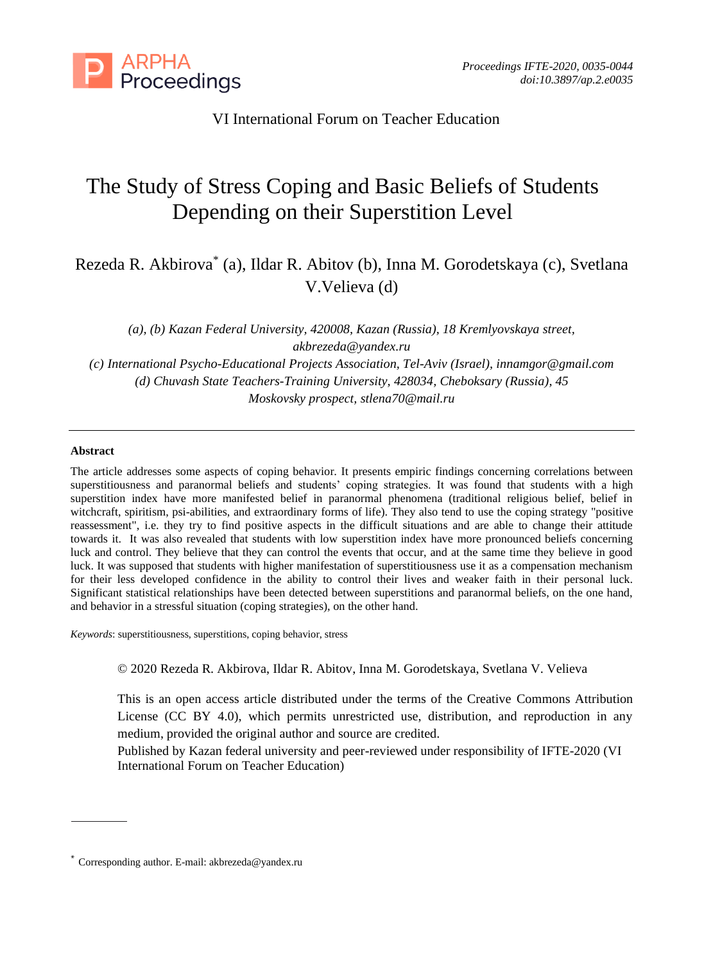

VI International Forum on Teacher Education

# The Study of Stress Coping and Basic Beliefs of Students Depending on their Superstition Level

Rezeda R. Akbirova\* (a), Ildar R. Abitov (b), Inna M. Gorodetskaya (c), Svetlana V.Velieva (d)

*(a), (b) Kazan Federal University, 420008, Kazan (Russia), 18 Kremlyovskaya street, akbrezeda@yandex.ru (c) International Psycho-Educational Projects Association, Tel-Aviv (Israel), innamgor@gmail.com (d) Chuvash State Teachers-Training University, 428034, Cheboksary (Russia), 45 Moskovsky prospect, stlena70@mail.ru*

## **Abstract**

The article addresses some aspects of coping behavior. It presents empiric findings concerning correlations between superstitiousness and paranormal beliefs and students' coping strategies. It was found that students with a high superstition index have more manifested belief in paranormal phenomena (traditional religious belief, belief in witchcraft, spiritism, psi-abilities, and extraordinary forms of life). They also tend to use the coping strategy "positive reassessment", i.e. they try to find positive aspects in the difficult situations and are able to change their attitude towards it. It was also revealed that students with low superstition index have more pronounced beliefs concerning luck and control. They believe that they can control the events that occur, and at the same time they believe in good luck. It was supposed that students with higher manifestation of superstitiousness use it as a compensation mechanism for their less developed confidence in the ability to control their lives and weaker faith in their personal luck. Significant statistical relationships have been detected between superstitions and paranormal beliefs, on the one hand, and behavior in a stressful situation (coping strategies), on the other hand.

*Keywords*: superstitiousness, superstitions, coping behavior, stress

© 2020 Rezeda R. Akbirova, Ildar R. Abitov, Inna M. Gorodetskaya, Svetlana V. Velieva

This is an open access article distributed under the terms of the Creative Commons Attribution License (CC BY 4.0), which permits unrestricted use, distribution, and reproduction in any medium, provided the original author and source are credited.

Published by Kazan federal university and peer-reviewed under responsibility of IFTE-2020 (VI International Forum on Teacher Education)

<sup>\*</sup> Corresponding author. E-mail: akbrezeda@yandex.ru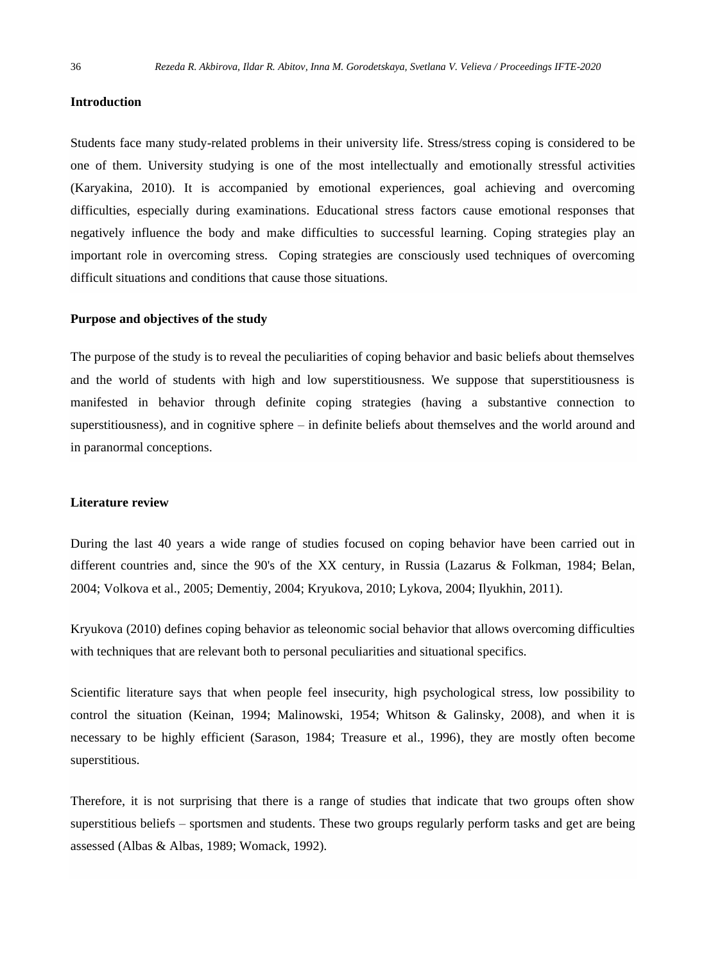# **Introduction**

Students face many study-related problems in their university life. Stress/stress coping is considered to be one of them. University studying is one of the most intellectually and emotionally stressful activities (Karyakina, 2010). It is accompanied by emotional experiences, goal achieving and overcoming difficulties, especially during examinations. Educational stress factors cause emotional responses that negatively influence the body and make difficulties to successful learning. Coping strategies play an important role in overcoming stress. Coping strategies are consciously used techniques of overcoming difficult situations and conditions that cause those situations.

#### **Purpose and objectives of the study**

The purpose of the study is to reveal the peculiarities of coping behavior and basic beliefs about themselves and the world of students with high and low superstitiousness. We suppose that superstitiousness is manifested in behavior through definite coping strategies (having a substantive connection to superstitiousness), and in cognitive sphere – in definite beliefs about themselves and the world around and in paranormal conceptions.

#### **Literature review**

During the last 40 years a wide range of studies focused on coping behavior have been carried out in different countries and, since the 90's of the XX century, in Russia (Lazarus & Folkman, 1984; Belan, 2004; Volkova et al., 2005; Dementiy, 2004; Kryukova, 2010; Lykova, 2004; Ilyukhin, 2011).

Kryukova (2010) defines coping behavior as teleonomic social behavior that allows overcoming difficulties with techniques that are relevant both to personal peculiarities and situational specifics.

Scientific literature says that when people feel insecurity, high psychological stress, low possibility to control the situation (Keinan, 1994; Malinowski, 1954; Whitson & Galinsky, 2008), and when it is necessary to be highly efficient (Sarason, 1984; Treasure et al., 1996), they are mostly often become superstitious.

Therefore, it is not surprising that there is a range of studies that indicate that two groups often show superstitious beliefs – sportsmen and students. These two groups regularly perform tasks and get are being assessed (Albas & Albas, 1989; Womack, 1992).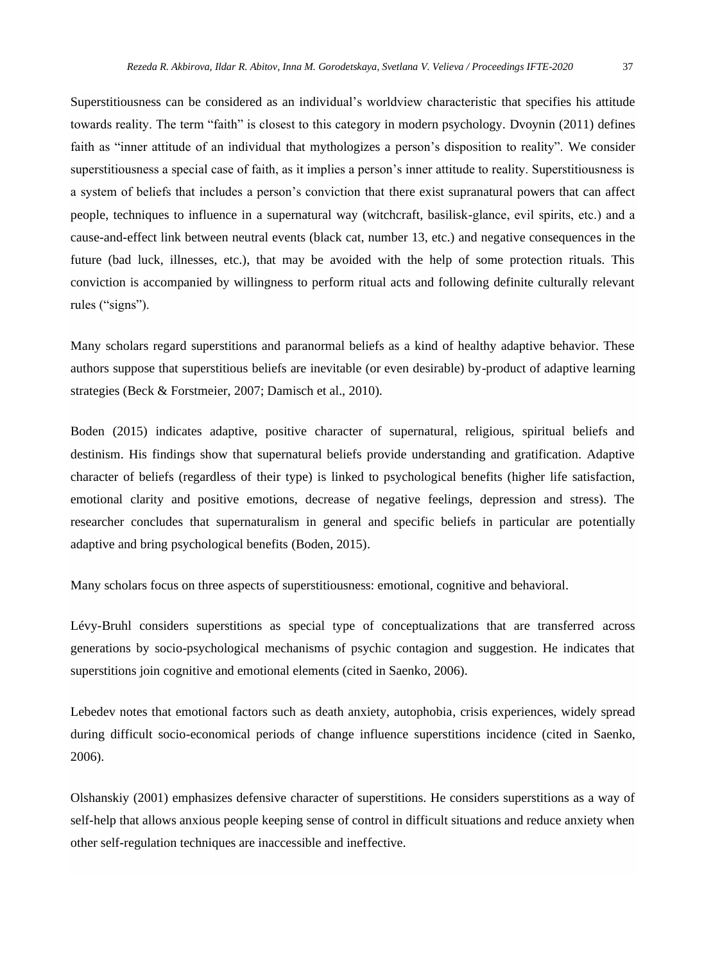Superstitiousness can be considered as an individual's worldview characteristic that specifies his attitude towards reality. The term "faith" is closest to this category in modern psychology. Dvoynin (2011) defines faith as "inner attitude of an individual that mythologizes a person's disposition to reality". We consider superstitiousness a special case of faith, as it implies a person's inner attitude to reality. Superstitiousness is a system of beliefs that includes a person's conviction that there exist supranatural powers that can affect people, techniques to influence in a supernatural way (witchcraft, basilisk-glance, evil spirits, etc.) and а cause-and-effect link between neutral events (black cat, number 13, etc.) and negative consequences in the future (bad luck, illnesses, etc.), that may be avoided with the help of some protection rituals. This conviction is accompanied by willingness to perform ritual acts and following definite culturally relevant rules ("signs").

Many scholars regard superstitions and paranormal beliefs as a kind of healthy adaptive behavior. These authors suppose that superstitious beliefs are inevitable (or even desirable) by-product of adaptive learning strategies (Beck & Forstmeier, 2007; Damisch et al., 2010).

Boden (2015) indicates adaptive, positive character of supernatural, religious, spiritual beliefs and destinism. His findings show that supernatural beliefs provide understanding and gratification. Adaptive character of beliefs (regardless of their type) is linked to psychological benefits (higher life satisfaction, emotional clarity and positive emotions, decrease of negative feelings, depression and stress). The researcher concludes that supernaturalism in general and specific beliefs in particular are potentially adaptive and bring psychological benefits (Boden, 2015).

Many scholars focus on three aspects of superstitiousness: emotional, cognitive and behavioral.

Lévy-Bruhl considers superstitions as special type of conceptualizations that are transferred across generations by socio-psychological mechanisms of psychic contagion and suggestion. He indicates that superstitions join cognitive and emotional elements (cited in Saenko, 2006).

Lebedev notes that emotional factors such as death anxiety, autophobia, crisis experiences, widely spread during difficult socio-economical periods of change influence superstitions incidence (cited in Saenko, 2006).

Olshanskiy (2001) emphasizes defensive character of superstitions. He considers superstitions as a way of self-help that allows anxious people keeping sense of control in difficult situations and reduce anxiety when other self-regulation techniques are inaccessible and ineffective.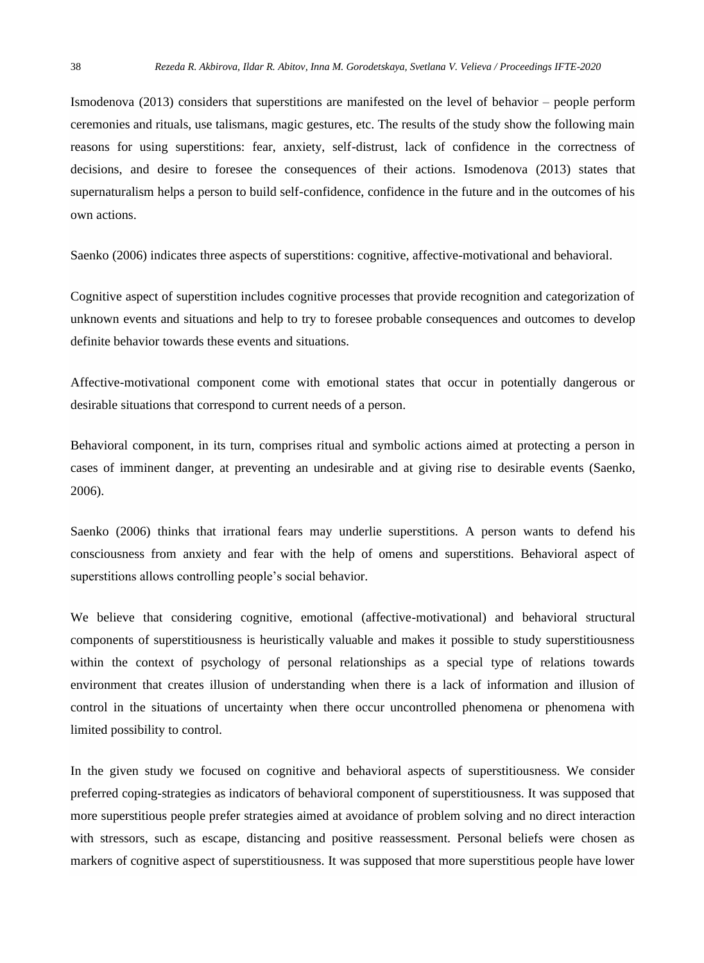Ismodenova (2013) considers that superstitions are manifested on the level of behavior – people perform ceremonies and rituals, use talismans, magic gestures, etc. The results of the study show the following main reasons for using superstitions: fear, anxiety, self-distrust, lack of confidence in the correctness of decisions, and desire to foresee the consequences of their actions. Ismodenova (2013) states that supernaturalism helps a person to build self-confidence, confidence in the future and in the outcomes of his own actions.

Saenko (2006) indicates three aspects of superstitions: cognitive, affective-motivational and behavioral.

Cognitive aspect of superstition includes cognitive processes that provide recognition and categorization of unknown events and situations and help to try to foresee probable consequences and outcomes to develop definite behavior towards these events and situations.

Affective-motivational component come with emotional states that occur in potentially dangerous or desirable situations that correspond to current needs of a person.

Behavioral component, in its turn, comprises ritual and symbolic actions aimed at protecting a person in cases of imminent danger, at preventing an undesirable and at giving rise to desirable events (Saenko, 2006).

Saenko (2006) thinks that irrational fears may underlie superstitions. A person wants to defend his consciousness from anxiety and fear with the help of omens and superstitions. Behavioral aspect of superstitions allows controlling people's social behavior.

We believe that considering cognitive, emotional (affective-motivational) and behavioral structural components of superstitiousness is heuristically valuable and makes it possible to study superstitiousness within the context of psychology of personal relationships as a special type of relations towards environment that creates illusion of understanding when there is a lack of information and illusion of control in the situations of uncertainty when there occur uncontrolled phenomena or phenomena with limited possibility to control.

In the given study we focused on cognitive and behavioral aspects of superstitiousness. We consider preferred coping-strategies as indicators of behavioral component of superstitiousness. It was supposed that more superstitious people prefer strategies aimed at avoidance of problem solving and no direct interaction with stressors, such as escape, distancing and positive reassessment. Personal beliefs were chosen as markers of cognitive aspect of superstitiousness. It was supposed that more superstitious people have lower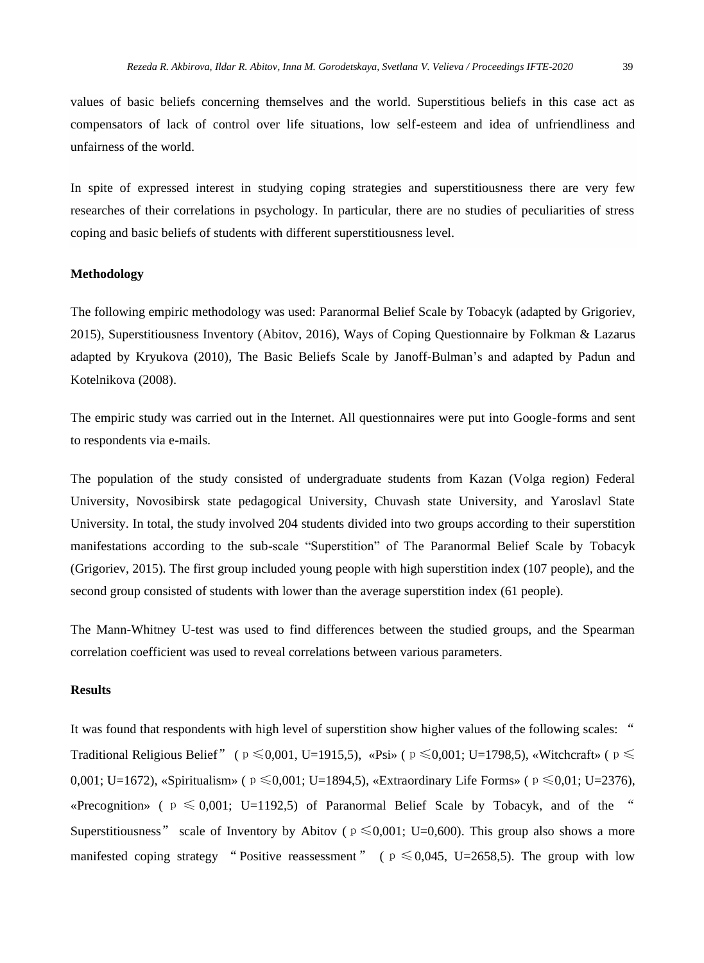values of basic beliefs concerning themselves and the world. Superstitious beliefs in this case act as compensators of lack of control over life situations, low self-esteem and idea of unfriendliness and unfairness of the world.

In spite of expressed interest in studying coping strategies and superstitiousness there are very few researches of their correlations in psychology. In particular, there are no studies of peculiarities of stress coping and basic beliefs of students with different superstitiousness level.

#### **Methodology**

The following empiric methodology was used: Paranormal Belief Scale by Tobacyk (adapted by Grigoriev, 2015), Superstitiousness Inventory (Abitov, 2016), Ways of Coping Questionnaire by Folkman & Lazarus adapted by Kryukova (2010), The Basic Beliefs Scale by Janoff-Bulman's and adapted by Padun and Kotelnikova (2008).

The empiric study was carried out in the Internet. All questionnaires were put into Google-forms and sent to respondents via e-mails.

The population of the study consisted of undergraduate students from Kazan (Volga region) Federal University, Novosibirsk state pedagogical University, Chuvash state University, and Yaroslavl State University. In total, the study involved 204 students divided into two groups according to their superstition manifestations according to the sub-scale "Superstition" of The Paranormal Belief Scale by Tobacyk (Grigoriev, 2015). The first group included young people with high superstition index (107 people), and the second group consisted of students with lower than the average superstition index (61 people).

The Mann-Whitney U-test was used to find differences between the studied groups, and the Spearman correlation coefficient was used to reveal correlations between various parameters.

#### **Results**

It was found that respondents with high level of superstition show higher values of the following scales: " Traditional Religious Belief" ( $p \le 0,001$ , U=1915,5), «Psi» ( $p \le 0,001$ ; U=1798,5), «Witchcraft» ( $p \le 0$ 0,001; U=1672), «Spiritualism» ( $p \le 0.001$ ; U=1894,5), «Extraordinary Life Forms» ( $p \le 0.01$ ; U=2376), «Precognition» ( $p \le 0.001$ ; U=1192.5) of Paranormal Belief Scale by Tobacyk, and of the " Superstitiousness" scale of Inventory by Abitov ( $p \le 0.001$ ; U=0,600). This group also shows a more manifested coping strategy "Positive reassessment" ( $p \le 0.045$ , U=2658,5). The group with low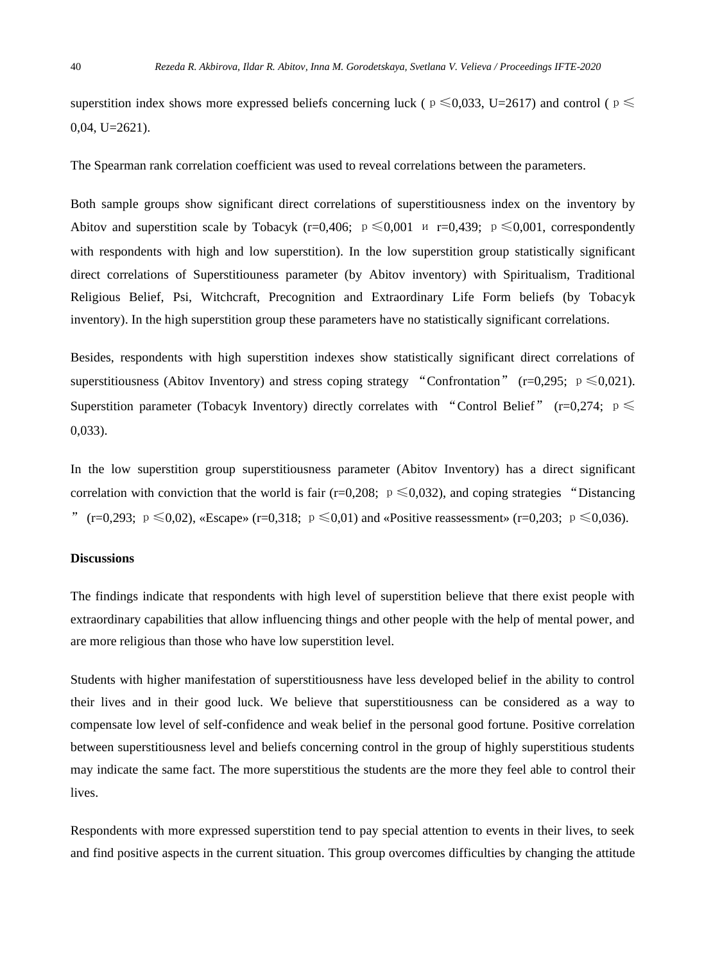superstition index shows more expressed beliefs concerning luck ( $p \le 0.033$ , U=2617) and control ( $p \le$ 0,04, U=2621).

The Spearman rank correlation coefficient was used to reveal correlations between the parameters.

Both sample groups show significant direct correlations of superstitiousness index on the inventory by Abitov and superstition scale by Tobacyk (r=0,406;  $p \le 0.001$  *u* r=0,439;  $p \le 0.001$ , correspondently with respondents with high and low superstition). In the low superstition group statistically significant direct correlations of Superstitiouness parameter (by Abitov inventory) with Spiritualism, Traditional Religious Belief, Psi, Witchcraft, Precognition and Extraordinary Life Form beliefs (by Tobacyk inventory). In the high superstition group these parameters have no statistically significant correlations.

Besides, respondents with high superstition indexes show statistically significant direct correlations of superstitiousness (Abitov Inventory) and stress coping strategy "Confrontation" (r=0,295;  $p \le 0.021$ ). Superstition parameter (Tobacyk Inventory) directly correlates with "Control Belief" (r=0,274;  $p \le$ 0,033).

In the low superstition group superstitiousness parameter (Abitov Inventory) has a direct significant correlation with conviction that the world is fair (r=0,208;  $p \le 0.032$ ), and coping strategies "Distancing " (r=0,293;  $p \le 0.02$ ), «Escape» (r=0,318;  $p \le 0.01$ ) and «Positive reassessment» (r=0,203;  $p \le 0.036$ ).

#### **Discussions**

The findings indicate that respondents with high level of superstition believe that there exist people with extraordinary capabilities that allow influencing things and other people with the help of mental power, and are more religious than those who have low superstition level.

Students with higher manifestation of superstitiousness have less developed belief in the ability to control their lives and in their good luck. We believe that superstitiousness can be considered as a way to compensate low level of self-confidence and weak belief in the personal good fortune. Positive correlation between superstitiousness level and beliefs concerning control in the group of highly superstitious students may indicate the same fact. The more superstitious the students are the more they feel able to control their lives.

Respondents with more expressed superstition tend to pay special attention to events in their lives, to seek and find positive aspects in the current situation. This group overcomes difficulties by changing the attitude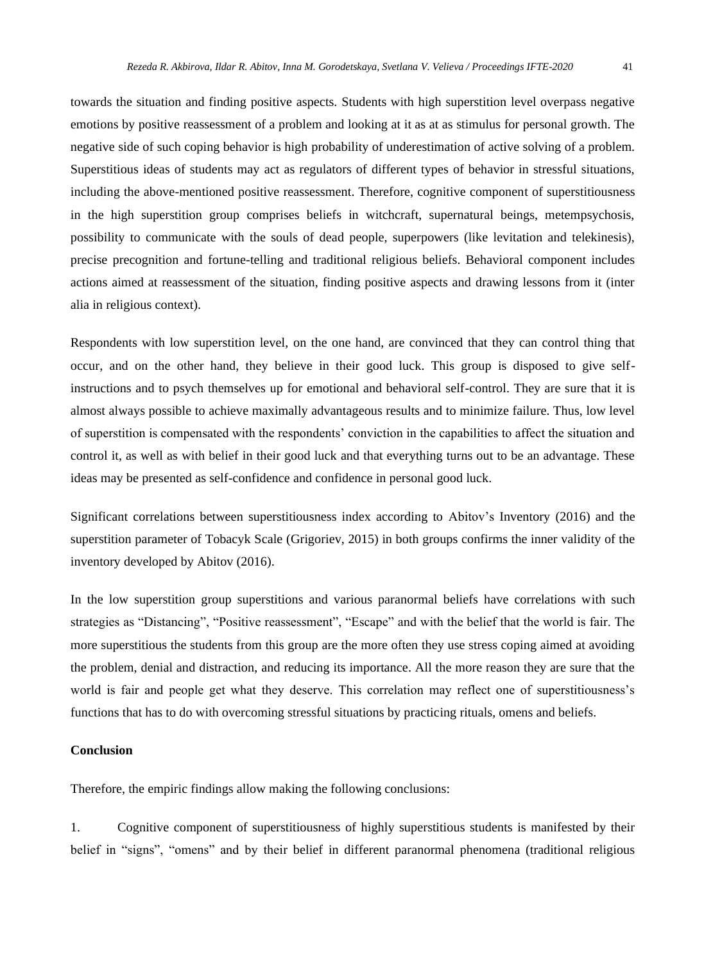towards the situation and finding positive aspects. Students with high superstition level overpass negative emotions by positive reassessment of a problem and looking at it as at as stimulus for personal growth. The negative side of such coping behavior is high probability of underestimation of active solving of a problem. Superstitious ideas of students may act as regulators of different types of behavior in stressful situations, including the above-mentioned positive reassessment. Therefore, cognitive component of superstitiousness in the high superstition group comprises beliefs in witchcraft, supernatural beings, metempsychosis, possibility to communicate with the souls of dead people, superpowers (like levitation and telekinesis), precise precognition and fortune-telling and traditional religious beliefs. Behavioral component includes actions aimed at reassessment of the situation, finding positive aspects and drawing lessons from it (inter alia in religious context).

Respondents with low superstition level, on the one hand, are convinced that they can control thing that occur, and on the other hand, they believe in their good luck. This group is disposed to give selfinstructions and to psych themselves up for emotional and behavioral self-control. They are sure that it is almost always possible to achieve maximally advantageous results and to minimize failure. Thus, low level of superstition is compensated with the respondents' conviction in the capabilities to affect the situation and control it, as well as with belief in their good luck and that everything turns out to be an advantage. These ideas may be presented as self-confidence and confidence in personal good luck.

Significant correlations between superstitiousness index according to Abitov's Inventory (2016) and the superstition parameter of Tobacyk Scale (Grigoriev, 2015) in both groups confirms the inner validity of the inventory developed by Abitov (2016).

In the low superstition group superstitions and various paranormal beliefs have correlations with such strategies as "Distancing", "Positive reassessment", "Escape" and with the belief that the world is fair. The more superstitious the students from this group are the more often they use stress coping aimed at avoiding the problem, denial and distraction, and reducing its importance. All the more reason they are sure that the world is fair and people get what they deserve. This correlation may reflect one of superstitiousness's functions that has to do with overcoming stressful situations by practicing rituals, omens and beliefs.

#### **Conclusion**

Therefore, the empiric findings allow making the following conclusions:

1. Cognitive component of superstitiousness of highly superstitious students is manifested by their belief in "signs", "omens" and by their belief in different paranormal phenomena (traditional religious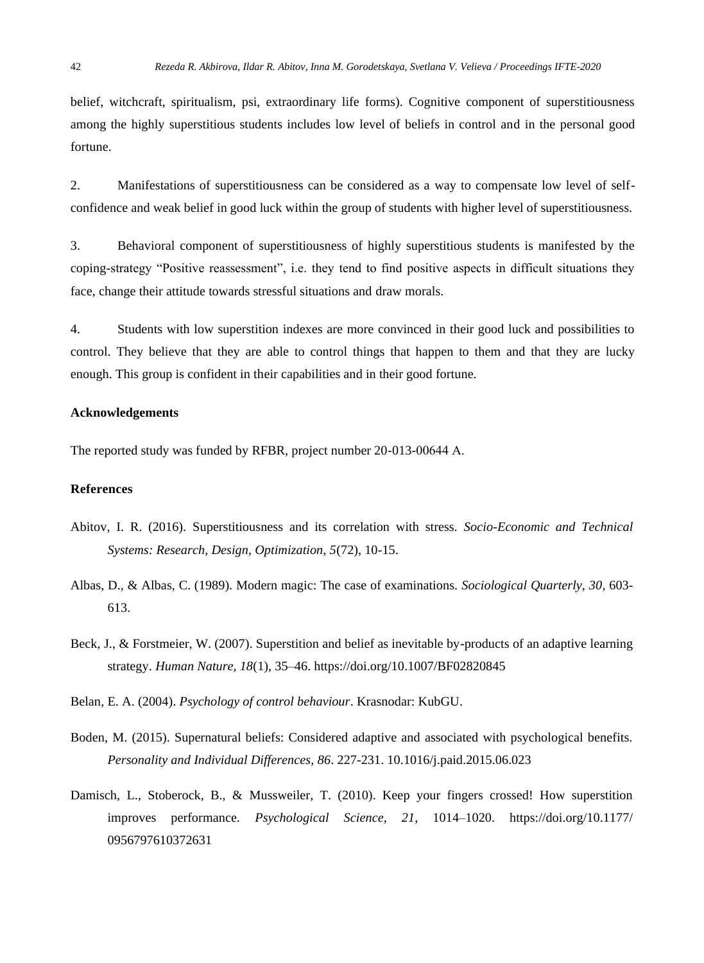belief, witchcraft, spiritualism, psi, extraordinary life forms). Cognitive component of superstitiousness among the highly superstitious students includes low level of beliefs in control and in the personal good fortune.

2. Manifestations of superstitiousness can be considered as a way to compensate low level of selfconfidence and weak belief in good luck within the group of students with higher level of superstitiousness.

3. Behavioral component of superstitiousness of highly superstitious students is manifested by the coping-strategy "Positive reassessment", i.e. they tend to find positive aspects in difficult situations they face, change their attitude towards stressful situations and draw morals.

4. Students with low superstition indexes are more convinced in their good luck and possibilities to control. They believe that they are able to control things that happen to them and that they are lucky enough. This group is confident in their capabilities and in their good fortune.

# **Acknowledgements**

The reported study was funded by RFBR, project number 20-013-00644 А.

# **References**

- Abitov, I. R. (2016). Superstitiousness and its correlation with stress. *Socio-Economic and Technical Systems: Research, Design, Optimization, 5*(72), 10-15.
- Albas, D., & Albas, C. (1989). Modern magic: The case of examinations. *Sociological Quarterly, 30*, 603- 613.
- Beck, J., & Forstmeier, W. (2007). Superstition and belief as inevitable by-products of an adaptive learning strategy. *Human Nature, 18*(1), 35–46. https://doi.org/10.1007/BF02820845

Belan, E. A. (2004). *Psychology of control behaviour*. Krasnodar: KubGU.

- Boden, M. (2015). Supernatural beliefs: Considered adaptive and associated with psychological benefits. *Personality and Individual Differences, 86*. 227-231. 10.1016/j.paid.2015.06.023
- Damisch, L., Stoberock, B., & Mussweiler, T. (2010). Keep your fingers crossed! How superstition improves performance. *Psychological Science, 21*, 1014–1020. https://doi.org/10.1177/ 0956797610372631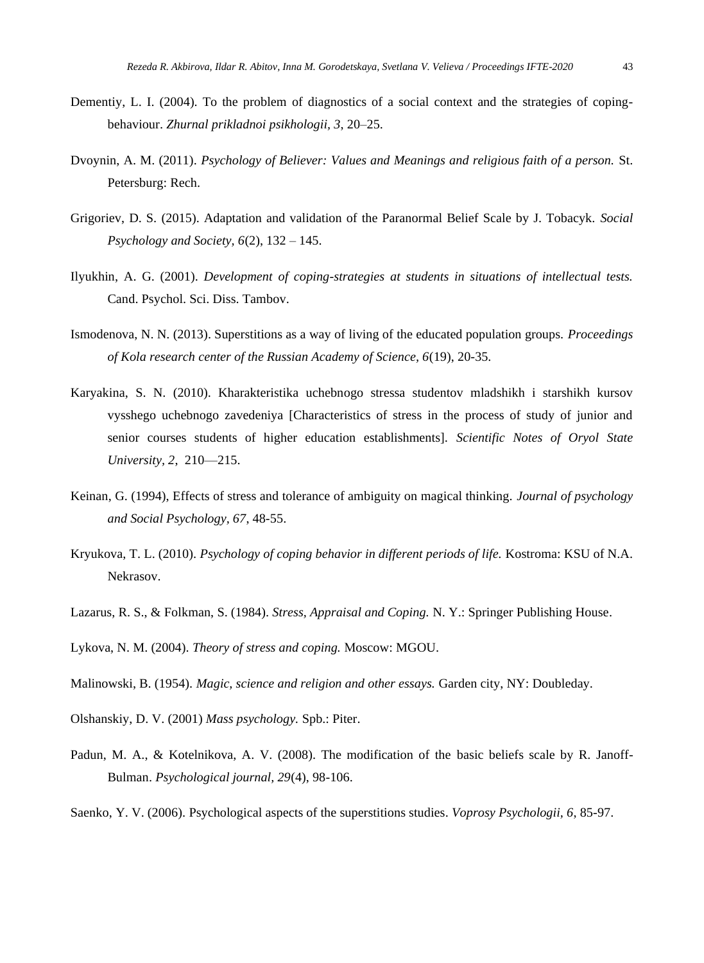- Dementiy, L. I. (2004). To the problem of diagnostics of a social context and the strategies of copingbehaviour. *Zhurnal prikladnoi psikhologii, 3*, 20–25.
- Dvoynin, A. M. (2011). *Psychology of Believer: Values and Meanings and religious faith of a person.* St. Petersburg: Rech.
- Grigoriev, D. S. (2015). Adaptation and validation of the Paranormal Belief Scale by J. Tobacyk. *Social Psychology and Society, 6*(2), 132 – 145.
- Ilyukhin, A. G. (2001). *Development of coping-strategies at students in situations of intellectual tests.* Cand. Psychol. Sci. Diss. Tambov.
- Ismodenova, N. N. (2013). Superstitions as a way of living of the educated population groups. *Proceedings of Kola research center of the Russian Academy of Science, 6*(19), 20-35.
- Karyakina, S. N. (2010). Kharakteristika uchebnogo stressa studentov mladshikh i starshikh kursov vysshego uchebnogo zavedeniya [Characteristics of stress in the process of study of junior and senior courses students of higher education establishments]. *Scientific Notes of Oryol State University, 2*, 210—215.
- Keinan, G. (1994), Effects of stress and tolerance of ambiguity on magical thinking. *Journal of psychology and Social Psychology, 67*, 48-55.
- Kryukova, T. L. (2010). *Psychology of coping behavior in different periods of life.* Kostroma: KSU of N.A. Nekrasov.
- Lazarus, R. S., & Folkman, S. (1984). *Stress, Appraisal and Coping.* N. Y.: Springer Publishing House.

Lykova, N. M. (2004). *Theory of stress and coping.* Мoscow: MGOU.

Malinowski, B. (1954). *Magic, science and religion and other essays.* Garden city, NY: Doubleday.

- Olshanskiy, D. V. (2001) *Mass psychology.* Spb.: Piter.
- Padun, M. A., & Kotelnikova, A. V. (2008). The modification of the basic beliefs scale by R. Janoff-Bulman. *Psychological journal, 29*(4), 98-106.
- Saenko, Y. V. (2006). Psychological aspects of the superstitions studies. *Voprosy Psychologii, 6*, 85-97.